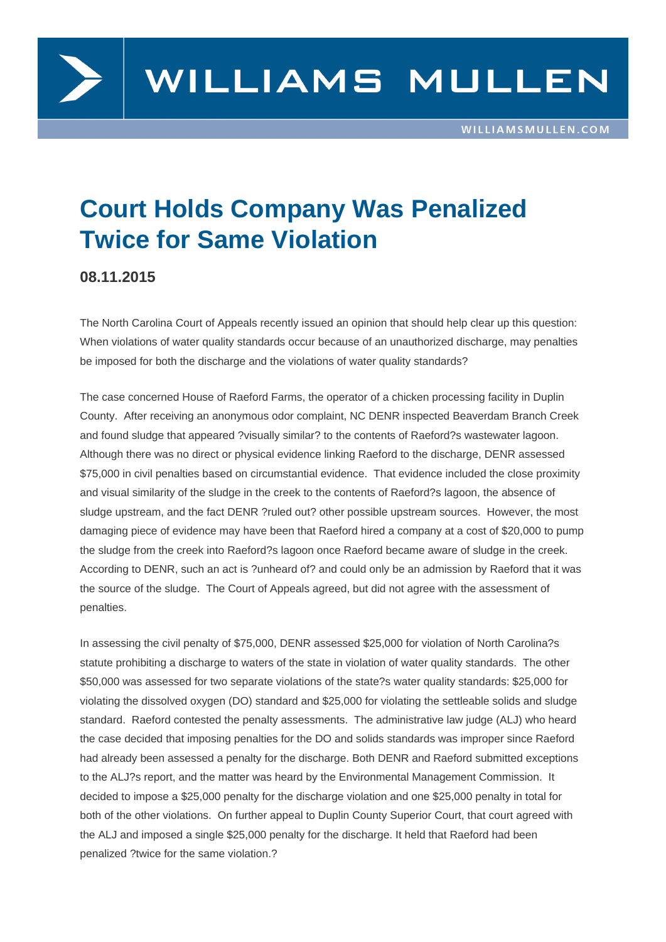

## **Court Holds Company Was Penalized Twice for Same Violation**

## **08.11.2015**

The North Carolina Court of Appeals recently issued an opinion that should help clear up this question: When violations of water quality standards occur because of an unauthorized discharge, may penalties be imposed for both the discharge and the violations of water quality standards?

The case concerned House of Raeford Farms, the operator of a chicken processing facility in Duplin County. After receiving an anonymous odor complaint, NC DENR inspected Beaverdam Branch Creek and found sludge that appeared ?visually similar? to the contents of Raeford?s wastewater lagoon. Although there was no direct or physical evidence linking Raeford to the discharge, DENR assessed \$75,000 in civil penalties based on circumstantial evidence. That evidence included the close proximity and visual similarity of the sludge in the creek to the contents of Raeford?s lagoon, the absence of sludge upstream, and the fact DENR ?ruled out? other possible upstream sources. However, the most damaging piece of evidence may have been that Raeford hired a company at a cost of \$20,000 to pump the sludge from the creek into Raeford?s lagoon once Raeford became aware of sludge in the creek. According to DENR, such an act is ?unheard of? and could only be an admission by Raeford that it was the source of the sludge. The Court of Appeals agreed, but did not agree with the assessment of penalties.

In assessing the civil penalty of \$75,000, DENR assessed \$25,000 for violation of North Carolina?s statute prohibiting a discharge to waters of the state in violation of water quality standards. The other \$50,000 was assessed for two separate violations of the state?s water quality standards: \$25,000 for violating the dissolved oxygen (DO) standard and \$25,000 for violating the settleable solids and sludge standard. Raeford contested the penalty assessments. The administrative law judge (ALJ) who heard the case decided that imposing penalties for the DO and solids standards was improper since Raeford had already been assessed a penalty for the discharge. Both DENR and Raeford submitted exceptions to the ALJ?s report, and the matter was heard by the Environmental Management Commission. It decided to impose a \$25,000 penalty for the discharge violation and one \$25,000 penalty in total for both of the other violations. On further appeal to Duplin County Superior Court, that court agreed with the ALJ and imposed a single \$25,000 penalty for the discharge. It held that Raeford had been penalized ?twice for the same violation.?